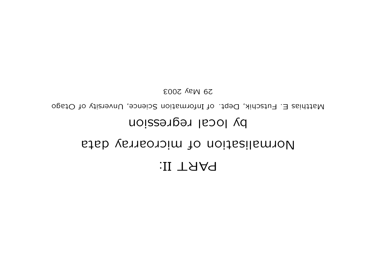# PART II:

## Normalisation of microarray data

## by local regression

Matthias E. Futschik, Dept. of Information Science, Unversity of Otago

29 May 2003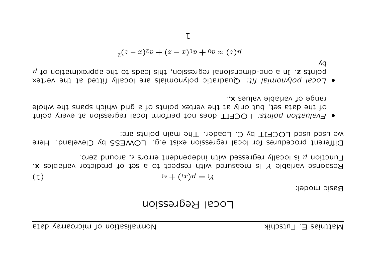## Local Regression

Basic model:

$$
f_1 = \mu(x_1) + \epsilon_i
$$

Function  $\mu$  is locally regressed with independent errors  $\epsilon_i$  around zero. Response variable Y is measured with respect to a set of predictor variables  $x$ .

We used used  $LOCHI$  by C. Loader. The main points are: Different procedures for local regression exist e.g. LOWESS by Cleveland. Here

- $\cdot$ <sub>i</sub>x saulav aldams values x<sub>i</sub>. of the data set, but only at the vertex points of a grid which spans the whole • Evaluation points: LOCFII does not pertorm local regression at every point
- Λq  $\mu$  to noitemixongde  $\theta$  ot absolute integressibe integree of  $\mu$  to noitemixonguation of  $\mu$ . Local polynomial fit: Quadratic polynomials are locally fitted at the vertex

$$
z^{(z-x)z} + (z-x)^{z}v + 0v \approx (z)u
$$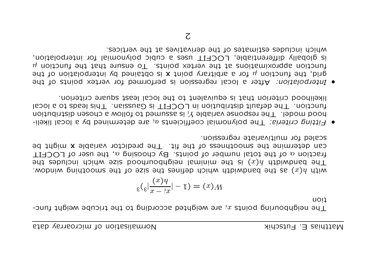Funcioe weighpouring the  $x^i$  sue weighted sccording to the triched weight thoreuo<sub>1</sub>

$$
\varepsilon(\varepsilon \vert \frac{(x) \eta}{x - \eta x} \vert - \tau) = (x) \Lambda
$$

with  $\mu$  bandwidth smoothing smoothing smoothing smoothing which which is dependence which the superiors.  $t$ ada səbuləni dəidw əsiz boodunodd $\beta$ iən laminim əda zi $(x)$  dabiwbund əd $T$ Traction  $\alpha$  of the total number of points. By choosing  $\alpha$ , the user of LOCFIT ean defermine the smoothness of the fit. The predictor variable **x** might be scaled for multivariate regression.

- $\bullet$  Fitting criteria: The polynomial coefficients  $a_i$  are determined by a local likelidistribution chosen assumed in the chosen again a chosen distribution in the deletion  $\mathcal{U}$  and  $\mathcal{U}$  and  $\mathcal{U}$ function. The default diribution in LOCFIT is Gaussian. This leads to a local Iikelihood criterion that is equivalent to the local least square criterion.
- o Interpolation: After a local regression is performed for vertex points of the grid, the function  $\mu$  not a anditrary point **x** is obtained by interpolation of the Inuctiou spherious at the vertex boints. To ensure that the function  $\mu$ is glopally differentiable, LOCFIT uses a cubic polynomial for interpolation, which includes estimates of the derivatives at the vertices.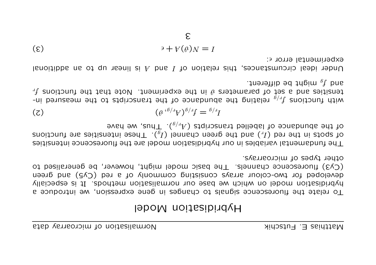## Hybridisation Model

other types of microarrays. (Cy3) fluorescence channels. The basic model might, however, be generalised to developed for two-colour arrays consisting commonly of a red (Cy5) and green hybridisation model on which we base our normalisation methods. It is especially To relate the fluorescence signals to changes in gene expression, we introduce a

of the abundance of labelled transcripts  $(A_r)_q$ ). Thus, we have and the req  $\binom{1}{I}$  pure the dust  $\binom{6}{I}$  for  $\binom{6}{I}$  and  $\binom{6}{I}$  pure  $\binom{4}{I}$  parally support is supported. The fundamental variables in our hybridisation model are the fluorescence intensities

$$
(\mathbf{z}) \qquad \qquad (\mathbf{e}^{\mathbf{i}\delta/\mu} \mathbf{y})^{\mathbf{i}\ell} \mathbf{y} = \mathbf{e}^{\mathbf{i}\ell} \mathbf{y}
$$

and  $f_{q}$  might be different.  $\frac{df}{dx}$  subsequested to parameters  $\theta$  in the experiment. Note that the functions  $f_r$ -ui benussem sd. relating the abundance of the transcripts to the measured in-

experimental error  $\epsilon$ : Under ideal circumstances, this relation of I and A is linear up to an additional

$$
\epsilon) \qquad \qquad \epsilon) \qquad \qquad \epsilon \in \mathbb{R}
$$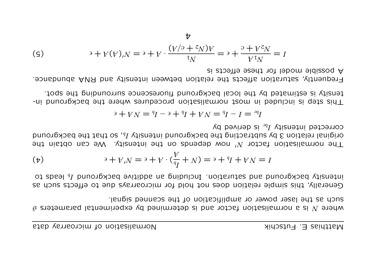such as the laser power or amplification of the scanned signal. Where N is a normalisation factor and is determined by experimental parameters  $\theta$ 

of about  $l_0$  background and saturation. Including an additive background  $l_0$  leads to Generally, this simple relation does not hold for microarrays due to effects such as

$$
\begin{aligned} \n\text{(b)} \qquad \qquad \text{and} \qquad \text{and} \qquad \text{and} \qquad \text{and} \qquad \text{and} \qquad \text{and} \qquad \text{and} \qquad \text{and} \qquad \text{and} \qquad \text{and} \qquad \text{and} \qquad \text{and} \qquad \text{and} \qquad \text{and} \qquad \text{and} \qquad \text{and} \qquad \text{and} \qquad \text{and} \qquad \text{and} \qquad \text{and} \qquad \text{and} \qquad \text{and} \qquad \text{and} \qquad \text{and} \qquad \text{and} \qquad \text{and} \qquad \text{and} \qquad \text{and} \qquad \text{and} \qquad \text{and} \qquad \text{and} \qquad \text{and} \qquad \text{and} \qquad \text{and} \qquad \text{and} \qquad \text{and} \qquad \text{and} \qquad \text{and} \qquad \text{and} \qquad \text{and} \qquad \text{and} \qquad \text{and} \qquad \text{and} \qquad \text{and} \qquad \text{and} \qquad \text{and} \qquad \text{and} \qquad \text{and} \qquad \text{and} \qquad \text{and} \qquad \text{and} \qquad \text{and} \qquad \text{and} \qquad \text{and} \qquad \text{and} \qquad \text{and} \qquad \text{and} \qquad \text{and} \qquad \text{and} \qquad \text{and} \qquad \text{and} \qquad \text{and} \qquad \text{and} \qquad \text{and} \qquad \text{and} \qquad \text{and} \qquad \text{and} \qquad \text{and} \qquad \text{and} \qquad \text{and} \qquad \text{and} \qquad \text{and} \qquad \text{and} \qquad \text{and} \qquad \text{and} \qquad \text{and} \qquad \text{and} \qquad \text{and} \qquad \text{and} \qquad \text{and} \qquad \text{and} \qquad \text{and} \qquad \text{and} \qquad \text{and} \qquad \text{and} \qquad \text{and} \qquad \text{and} \qquad \text{and} \qquad \text{and} \qquad \text{and} \qquad \text{and} \qquad \text{and} \qquad \text{and} \
$$

corrected intensity  $I_{bc}$  is derived by original relation 3 by subtracting the background intensity  $I_b$ , so that the background The normalisation factor  $N'$  now depends on the intensity. We can obtain the

$$
P^e = I - I^p = N + qI + qI - qI = qI - qI = 0
$$

teuzity is estimated by the local background fluorescence surrounding the spot. This step is included in most normalisation procedures where the background in-

A possible model for these effects is Frequently, saturation affects the relation between intensity and RNA abundance.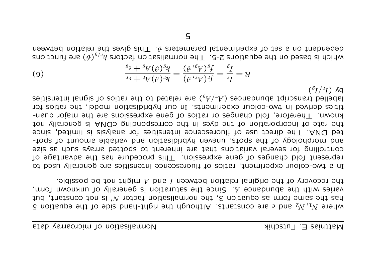the recovery of the original relation between I and A might not be possible. eries wifh the abundance A. Since the saturation is generally of unknown form, and the same form as equation 3, the normalisation factor  $N'$  is not constant, but d noiteupe 9dt to 9biz bhandail Albough the right-hand side of the equation 5

 $(^{b}I/^{d}I)$   $\delta$ q elled transcript abundances  $(\psi/\psi)$  are related to the roitios of signal intensities tities derived in two-colour experiments. In our hybridisation model, the ratios for known. Therefore, fold changes or ratios of gene expressions are the major quanton vilstenge ai AMQ5 pribroqeemos ent ni esvb ent to noitatoquosni to esta ent ted DNA. The direct use of fluorescence intensities for analysis is limited, since and morphology of the spots, uneven hybridisation and variable amount of spot-Soutrolling for several variations that are inherent to spotted arrays such as size Tepresent fold changes of gene expression. This procedure has the advantage of In a two-colonr experiment, ratios of fluorescence intensities are generally used to

(9) 
$$
\frac{\binom{6}{7} + \binom{6}{7}\binom{7}{4}}{\binom{4}{7} + \binom{6}{7}\binom{7}{4}} = \frac{\binom{6}{7}\binom{6}{7}}{\binom{6}{7}\binom{7}{4}} = \frac{\binom{6}{7}\binom{6}{7}}{\binom{6}{7}\binom{7}{4}} = \frac{\binom{6}{7}\binom{6}{7}}{\binom{6}{7}\binom{7}{4}} = \frac{\binom{6}{7}\binom{6}{7}}{\binom{6}{7}\binom{7}{4}} = \frac{\binom{6}{7}\binom{6}{7}}{\binom{6}{7}\binom{7}{4}} = \frac{\binom{6}{7}\binom{6}{7}}{\binom{6}{7}\binom{7}{4}} = \frac{\binom{6}{7}\binom{6}{7}}{\binom{6}{7}\binom{7}{4}} = \frac{\binom{6}{7}\binom{6}{7}}{\binom{6}{7}\binom{7}{4}} = \frac{\binom{6}{7}\binom{6}{7}}{\binom{6}{7}\binom{7}{4}} = \frac{\binom{6}{7}\binom{6}{7}}{\binom{6}{7}\binom{7}{4}} = \frac{\binom{6}{7}\binom{6}{7}}{\binom{6}{7}\binom{7}{4}} = \frac{\binom{6}{7}\binom{6}{7}}{\binom{6}{7}\binom{7}{4}} = \frac{\binom{6}{7}\binom{6}{7}}{\binom{6}{7}\binom{7}{4}} = \frac{\binom{6}{7}\binom{6}{7}}{\binom{6}{7}\binom{7}{4}} = \frac{\binom{6}{7}\binom{6}{7}}{\binom{6}{7}\binom{7}{4}} = \frac{\binom{6}{7}\binom{6}{7}}{\binom{6}{7}\binom{7}{4}} = \frac{\binom{6}{7}\binom{6}{7}}{\binom{6}{7}\binom{7}{4}} = \frac{\binom{6}{7}\binom{6}{7}}{\binom{6}{7}\binom{7}{4}} = \frac{\binom{6}{7}\binom{6}{7}}{\binom{6}{7}\binom{7}{4}} = \frac{\binom{6}{7}\binom{6}{7}}{\binom{6}{7}\binom{7}{4}} = \frac{\binom{6}{7}\binom{6}{7}}{\binom{6}{7}\binom{7}{4}} = \frac{\binom{6}{7}\binom{
$$

dependent on a set of experimental parameters  $\vartheta$ . This gives the relation between eduction is pased on the equations 2-5. The normalisation factors  $k_y/a_y$  are functions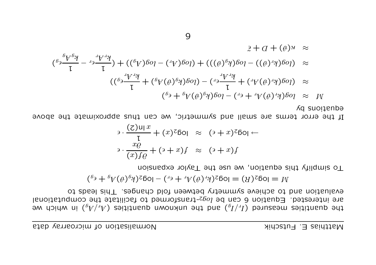e w doin  $\mathfrak{g}_{\rm F}(\mu_{\rm F})$  and  $\mathfrak{g}_{\rm F}(\mu_{\rm F})$  and  $\mathfrak{g}_{\rm F}(\mu_{\rm F})$  and  $\mathfrak{g}_{\rm F}(\mu_{\rm F})$  in which we are interested. Equation 6 can be  $log_{2}$ -transformed to facilitate the computational engingious and to schiene shumetry petween fold changes. This leads to

$$
W = \log_2(\mathcal{B}) = \log_2(k, \mathcal{B}) + \log_2(k, \mathcal{B}) = \log_2(k, \mathcal{B}) + \epsilon_0
$$

To simplify this equation, we use the Taylor expansion

$$
\frac{1}{\sqrt{1}} \cdot \frac{(z) \ln x}{\sqrt{1}} + (x)^{z} \ln \left( \frac{z}{z} \right) \approx (z + x)^{z} \ln \left( \frac{z}{z} \right)
$$
  
and 
$$
\frac{1}{\sqrt{1 + (z + z)^{z}}} \cdot \frac{1}{\sqrt{1 + (z + z)^{z}}} \approx (z + x)^{z}
$$

If the error terms are small and symmetric, we can thus approximate the above yb equations

$$
\begin{array}{rcl}\n\mathcal{L}(\delta) + \mathcal{L}(\delta) & \mathcal{L}(\delta) & \mathcal{L}(\delta) \\
\mathcal{L}(\delta) & \mathcal{L}(\delta) & \mathcal{L}(\delta) \\
\mathcal{L}(\delta) & \mathcal{L}(\delta) & \mathcal{L}(\delta)\n\end{array}
$$
\n
$$
\begin{array}{rcl}\n\mathcal{L}(\delta) + \mathcal{L}(\delta) & \mathcal{L}(\delta) \\
\mathcal{L}(\delta) & \mathcal{L}(\delta) & \mathcal{L}(\delta)\n\end{array}
$$
\n
$$
\begin{array}{rcl}\n\mathcal{L}(\delta) & \mathcal{L}(\delta) & \mathcal{L}(\delta) \\
\mathcal{L}(\delta) & \mathcal{L}(\delta) & \mathcal{L}(\delta) \\
\mathcal{L}(\delta) & \mathcal{L}(\delta) & \mathcal{L}(\delta)\n\end{array}
$$
\n
$$
\begin{array}{rcl}\n\mathcal{L}(\delta) & \mathcal{L}(\delta) \\
\mathcal{L}(\delta) & \mathcal{L}(\delta) & \mathcal{L}(\delta) \\
\mathcal{L}(\delta) & \mathcal{L}(\delta) & \mathcal{L}(\delta)\n\end{array}
$$
\n
$$
\begin{array}{rcl}\n\mathcal{L}(\delta) & \mathcal{L}(\delta) \\
\mathcal{L}(\delta) & \mathcal{L}(\delta) & \mathcal{L}(\delta) \\
\mathcal{L}(\delta) & \mathcal{L}(\delta) & \mathcal{L}(\delta) \\
\mathcal{L}(\delta) & \mathcal{L}(\delta) & \mathcal{L}(\delta) \\
\mathcal{L}(\delta) & \mathcal{L}(\delta) & \mathcal{L}(\delta) & \mathcal{L}(\delta)\n\end{array}
$$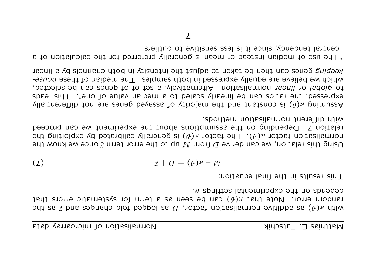with  $\kappa(\vartheta)$  as additive normalisation factor, D as logged fold changes and  $\tilde{\epsilon}$  as the random error. Note that  $\kappa ( \vartheta )$  can be seen as a term for systematic errors that  $\cdot$ <sup>6</sup> spnittes lationinguages entroped  $\theta$ .

equation: in the thing leduation:

$$
\mathbf{2} + \mathbf{d} = (\mathbf{e})\mathbf{A} - \mathbf{M}
$$

Using this relation, we can derive  $D$  from  $M$  up to the error term  $\tilde{\epsilon}$  once we know the the exploiting the  $\kappa(\theta)$ . The factor  $\kappa(\theta)$  is generally calibrated by exploiting the ceed rou ceed rought out the assumptions about the experiment we can broceed with different normalisation methods.

 $\chi$ llaitnentiallib ton ens zeneg beysas to virolam ed the fustion  $\epsilon$ il vert differentially exbressed, the ratios can be linearly scaled to a median value of one<sup>\*</sup>. This leads to global or linear normalisation. Alternatively, a set of of genes can be selected, which we believe are equally expresed in both samples. The median of these housereabing genes can then be taken to adjust the intensity in poth channels by a linear

 $*$  The use of median instead of mean is generally preferred for the calculation of a central tendency, since it is less sensitive to outliers.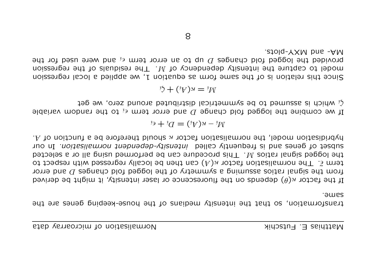traustouus eep re reging intenzit). However the ponse-keeping denes are region same.

If the factor  $\kappa(\theta)$  depends on the fluorescence or laser intensity, it might be derived rom the signal ratios assuming a symmetry of the logged fold changes  $D$  and error term  $\bar{\epsilon}$ . The normalisation factor  $\kappa(A)$  can then be locally regressed with respect to the logged signal ratios  $M$ . This procedure can be performed using all or a selected ano uI *noitaeilamon tuabneqab-viisnatni* ballas vitnauperti pus sanag to taedus . A function model, the normalisation factor  $\kappa$  should therefore be a function of  $\Lambda$ .

$$
W_i - \kappa(V_i) = D_i + \epsilon_i
$$

If we combine the logged fold change D and error term  $\epsilon_i$  to the random variable  $\zeta_i$  which is a between to be symmetrical distributed around zero, we get

$$
W_i = \kappa(V_i) + \zeta_i
$$

Since this relation is of the same form as equation 1, we applied a local regression regression the intensity debendency of  $M$ . The residuals of the regression provided the logged fold changes  $D$  up to an error term  $\epsilon_i$  and were used for the  $R$ -and MXY-plots.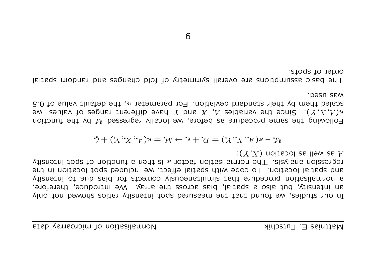In only sho poweds so it is verious that poresponsity ratios showed not only an infeusity, but also a spatial, bias across the array. We introduce, therefore, g uouwslizetion biocedure that simultaneously corrects for bias due to intensity and spatial location. To cope with spatial effect, we included spot location in the  $\gamma$ isuatui tods to noitonut a neut si  $\alpha$  rotof noitazilamon en Taisvism noiseangen ):  $(X, X)$  noited as liew as A

$$
Wi - \kappa(Yi, Yi, Yi) = Ui + \epsiloni - \kappa(Yi, Yi, Yi, Yi) + \zetai
$$

Following the same procedure as pefore, we locally regressed M by the function e with ranges the value papir  $\mathcal{X}$  by  $\mathcal{X}$  and  $\mathcal{X}$  and  $\mathcal{X}$  is the Since  $\mathcal{X}^{\prime}$  and  $\mathcal{X}^{\prime}$  and  $\mathcal{X}^{\prime}$  and  $\mathcal{X}^{\prime}$  and  $\mathcal{X}^{\prime}$  and  $\mathcal{X}^{\prime}$  and  $\mathcal{X}^{\prime}$  and  $\mathcal{X}^{\prime}$ scaled them by their standard deviation. For parameter  $\alpha$ , the default value of 0.5 pasn sem

The basic assumbtions are cverall symmetry of told changes and random spatial order of spots.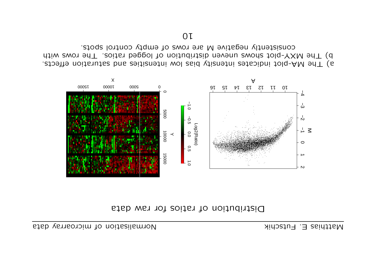



effects. Saturation and intensity pias low intensities put is interestional effects. With was reports wous consided and the ration of distios. The rows with consistently negative M are rows of empty control spots.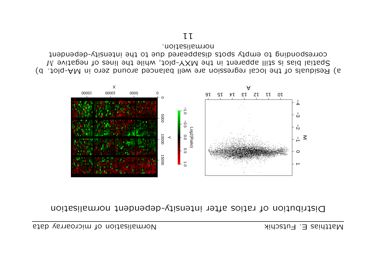#### Distribution of ratios after intensity-debendent normalisation



normalisation. corresbouging to empt? alsorb gizebodesic and the infeuzity-debendent W sviste has is still apparent in the MXY-plot, while the lines of negative  $M$ a) Residuals of the local regression are well balanced around zero in MA-plot. b)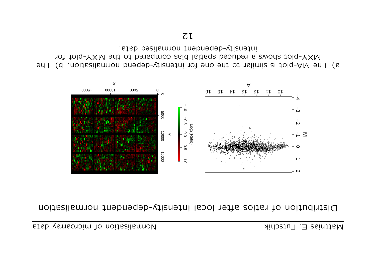#### Distribution of ratios after local intensity-debendent normalisation



intensity-debendent normalised data. Iot told-YXM and ot bared spatial bias compared to the MXY-plot for 91 The MA-plot is similar to the one for intensity-depend normalisation. b) The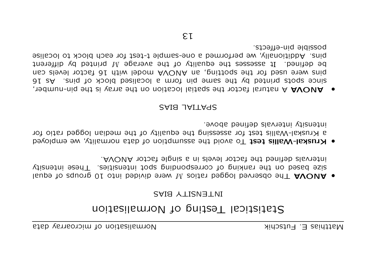## Statistical Testing of Normalisation

#### **BIAS IN EINS**

- equal The observed logged basios  $M$  vere divided by a product of length  $\mathbf{A}$ y is neg on the valitious to be corresponded by the spitles. These intensity AVOUA 101261 9lpnie a ni elevel 101261 9d1 beniteb eleverni
- $\bullet$  Kruskal-Wallis test To avoid the assumption of data normality, we employed a Kruskal-Wallis test for assessing the equality of the median logged ratio for intensity intervals alemined above.

#### SAIS JAI I AYS

ervion- whis yergional the spatial location on the array is the pin-number,  $16$  and  $16$  posted in the calistic point of the spin same spin same spin same spin same spin same spin same spin same spin same spin same spin same spin same spin same spin same spin same spin same spin same spin same s pins were used tot the spotting, an AVOUA model with 16 tactor levels can be defined. It assesses the equality of the average  $M$  printed by different pins. Additionally, we performed a one-sample t-test for each block to localise pozaiple biu-effects.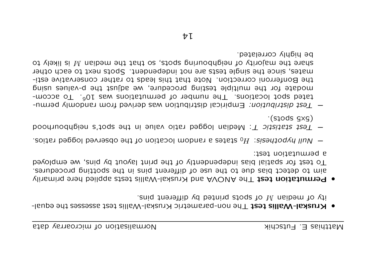- et median M of spots printed by different pins. • Kruskal-Wallis test The non-parametric Kruskal-Wallis test assesses the equal-
- a betmutation test: To test for spatial bias independently of the print layout by pins, we employed eque to detect pias due to the use of different pins in the spotting procedures. . Permutation test The AVOVA and Kruskal-Wallis tests applied here primarily
- Wull hypothesis: H<sub>0</sub> states a random location of the observed logged ratios.
- $\cdot$ (stods  $\exists$ xg) - Test statistic T: Median logged ratio value in the spot's neighbouthood
- be highly correlated. of ylexil zi M naibem ent heighbouring spots, so that the mediam M is likely to mates, since the single tests are not independent. Spots next to each other the Bonferroni correction. Note that this leads to rather conservative estimodate for the multiple testing procedure, we adjust the p-values using tated spot locations. The number of permutations was  $10^6$ . To accom-- Test distribution: Empirical distribution was derived from randomly permu-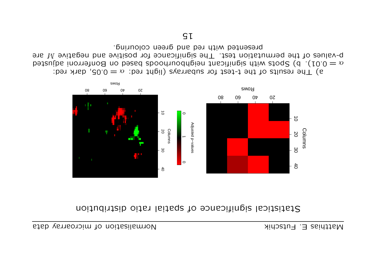#### distribution of spatial visibution in the settion in the settion of the superstical substitution of  $\alpha$



a) The results of the t-test for subarrays (light red:  $\alpha = 0.05$ , dark red: bediusted Bongerroni on the significant productor on pased our Bouleus in  $\det \sigma$ p-negative  $W$  and tegree modest. The significance for positive and negative  $M$  are preseuted with red and green colonring.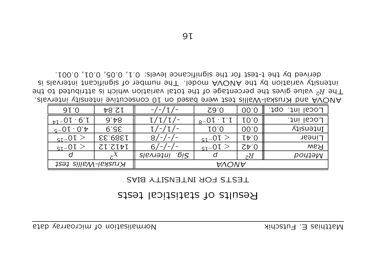## Results of statistical tests

#### TESTS FOR INTENSITY BIAS

| 91.0                                                              | 12.84          |                          | Z9.0                         | 00.0                                             | FOC91<br>.JQO |  |
|-------------------------------------------------------------------|----------------|--------------------------|------------------------------|--------------------------------------------------|---------------|--|
| $_{\tt bI}-0$ I $\cdot$ 6 $\cdot$ I                               | 9.48           |                          | $_{8}$ -OI $\cdot$ I $\cdot$ | 10.0                                             | Local int.    |  |
| $\mathsf{q}\text{-}\mathsf{O}\mathsf{I}\cdot\mathsf{O}\mathsf{t}$ | 6.55           |                          | IO.0                         | 00.0                                             | Intensity     |  |
| $\epsilon_{\text{q}t}$ - $0$ $\Gamma$ $>$                         | 1389.33        | 87<br>$-1-$              | $_{\rm qT-}\rm O$ I $>$      | $I\uparrow 0$                                    | <b>TIDEAL</b> |  |
| $_{\rm{SI}} - 01 >$                                               | <b>SI'SIPI</b> | 6/<br>$-1 - 1 -$         | $_{\rm{GT}} - 0$ I $>$       | $\zeta$ <sub><math>\uparrow</math></sub> $\zeta$ | <b>Raw</b>    |  |
|                                                                   |                | .515<br><b>SIPAJƏ1U!</b> | a                            | zH                                               | роціәр        |  |
| Kruskal-Wallis test                                               |                | AVOVA                    |                              |                                                  |               |  |

derived by the t-test for the significance levels: 0.1, 0.05, 0.01, 0.001. zi zlavnetni trisnitningiz to nedmun enT .lebom AVOUA ent vd noitsinsv vtiznetni The  $R^2$  value gives the percentage of the total variation which is attributed to the AVOVA and Kruskal-Wallis test were based on 10 consecutive intensity intervals.

9I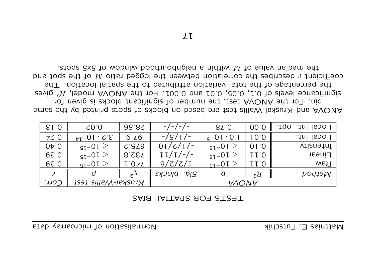| E1.0                | $\mathsf{C}0.0$             | 99.8S          |                                   | 87.0                 | 00.0 | Local int.<br>.JQO |
|---------------------|-----------------------------|----------------|-----------------------------------|----------------------|------|--------------------|
| $\Delta$ $\Omega$ . | $3.2 \cdot 10^{-14}$        | 6.76           | $- / S / I / -$                   | $c - 0I \cdot 0$     | 10.0 | Local int.         |
| 0 <sub>0</sub>      | $\tau_{\text{qT}}$ - $\sim$ | C'SL9          | $0I/Z/I/-$                        | $_{\rm q_T=0}$ t $>$ | 01.0 | Intensity          |
| $Q$ .39             | $\tau_{\text{qT}}$ - $\sim$ | 8.SET          | LI/I/<br>$\overline{\phantom{0}}$ | $_{\rm q_I=0}$ I $>$ | 11.0 | Linear             |
| $Q$ .39             | $_{\rm qT-0}$ I $>$         | I.OAT          | 8/Z/Z/L                           | $_{\rm q_I - 01}$ >  | LI.0 | <b>Raw</b>         |
|                     |                             | $\overline{z}$ | .δi2.<br><b>SYOOIG</b>            | d                    | zH   | <b>POU1ƏM</b>      |
| 7100                | Kruskal-Wallis test         |                | AVONA                             |                      |      |                    |

#### **ZAIS JAITARS AOR STRET**

eqian of giritar support  $M$  within a neighbortrood mindow of 5x5 spots. coefficient  $r$  describes the correlation between the logged ratio M of the spot and the percentage of the total variation attributed to the spatial location. The significance levels of 0.1, 0.05, 0.01 and 0.001. For the AVOVA model, R<sup>2</sup> gives pin. For the AVOVA test, the number of significant blocks is given for A mes and year basim and the pased on pased and the way the AVONA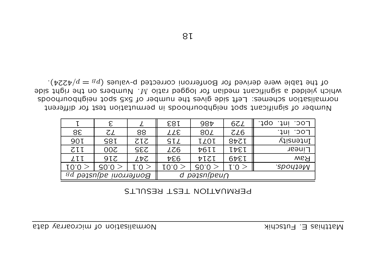|                          | E               |            | <b>183</b>                | 98t    | 67 <sub>1</sub> | LOC.<br>1do:<br>านเ        |
|--------------------------|-----------------|------------|---------------------------|--------|-----------------|----------------------------|
| 38                       | ζL              | 88         | TTE                       | 80Z    | ZL6             | רסכ <sup>.</sup><br>$1$ ul |
| 90T                      | S8I             | TIS        | SIZ                       | ILOI   | 877L            | Intensity                  |
| <b>ZII</b>               | 00 <sub>z</sub> | <b>SS2</b> | LZ6                       | 76II   | IPEI            | Linear                     |
| LII                      | 9IZ             | レヤ乙        | $\overline{v}$            | PICI   | 1349            | <b>Raw</b>                 |
| 10.0                     | 70.0            | $\tau.0 >$ | I0.0                      | 30.0 > | [.O >           | <i>SpouleW</i>             |
| Bonferroni adjusted $pa$ |                 |            | $p\partial 2\sin(peu\cap$ |        |                 |                            |

#### PERMUATION TEST RESULTS

different of significant spoch neighbood in become rest for different spooux oquesien tods 5x5 to redmum ent sevige bis the compution subpoourhoods shigh yielded a significant median for logged ratio  $M$ . Numbers on the right abie of the table were derived for Bonferroni corrected p-values  $(p_B = p/4224)$ .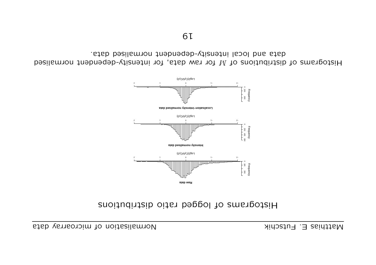#### Biograms of logged ratio distributions



Histograms of distributions of  $M$  for raw data, for intensity-debendent normalised data and local intensity-debentent unculieed data.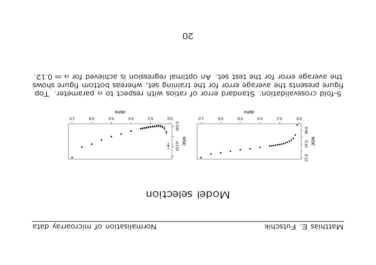



5-fold crossvalidation: Standard error of ratios with respect to  $\alpha$  parameter. Top figure presents the average error for the training set, whereas bottom figure shows 1he average error for the test set. An optimal regression is achieved for  $\alpha = 0.12$ .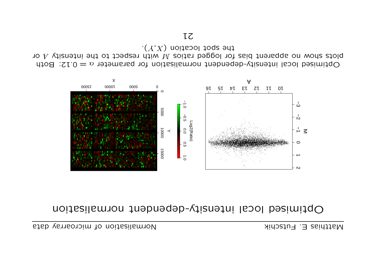### Optimised local intensity-dependent normalisation



 $\cdot(X,X)$  noitsool togs  $\theta$ nt yo A vith respect to the institutional pagged ratios  $M$  with respect to the intensity  $A$  or Optimised local intensity-dependent normalisation for parameter  $\alpha = 0.12$ : Both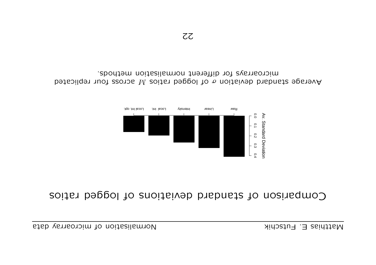## Comparison of standard braiations rougged ratios



Average standard beviation  $\sigma$  of logged ratios  $M$  across four replicated microarrays for different normalisation methods.